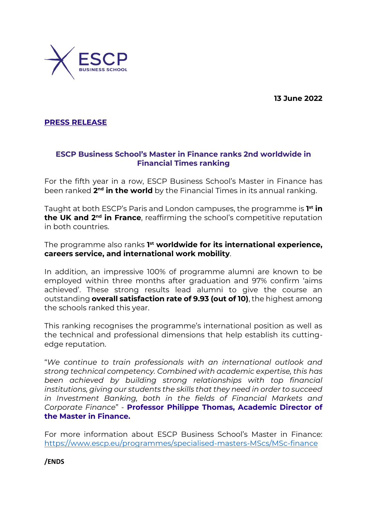**13 June 2022**



**PRESS RELEASE** 

## **ESCP Business School's Master in Finance ranks 2nd worldwide in Financial Times ranking**

For the fifth year in a row, ESCP Business School's Master in Finance has been ranked **2<sup>nd</sup> in the world** by the Financial Times in its annual ranking.

Taught at both ESCP's Paris and London campuses, the programme is **1 st in the UK and 2nd in France**, reaffirming the school's competitive reputation in both countries.

The programme also ranks **1 st worldwide for its international experience, careers service, and international work mobility**.

In addition, an impressive 100% of programme alumni are known to be employed within three months after graduation and 97% confirm 'aims achieved'. These strong results lead alumni to give the course an outstanding **overall satisfaction rate of 9.93 (out of 10)**, the highest among the schools ranked this year.

This ranking recognises the programme's international position as well as the technical and professional dimensions that help establish its cuttingedge reputation.

"*We continue to train professionals with an international outlook and strong technical competency. Combined with academic expertise, this has been achieved by building strong relationships with top financial institutions, giving our students the skills that they need in order to succeed in Investment Banking, both in the fields of Financial Markets and Corporate Finance*" - **Professor Philippe Thomas, Academic Director of the Master in Finance.**

For more information about ESCP Business School's Master in Finance: <https://www.escp.eu/programmes/specialised-masters-MScs/MSc-finance>

**/ENDS**